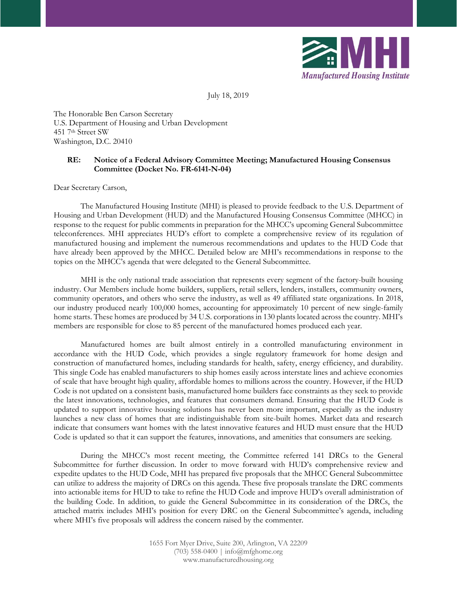

July 18, 2019

The Honorable Ben Carson Secretary U.S. Department of Housing and Urban Development 451 7th Street SW Washington, D.C. 20410

### **RE: Notice of a Federal Advisory Committee Meeting; Manufactured Housing Consensus Committee (Docket No. FR-6141-N-04)**

Dear Secretary Carson,

The Manufactured Housing Institute (MHI) is pleased to provide feedback to the U.S. Department of Housing and Urban Development (HUD) and the Manufactured Housing Consensus Committee (MHCC) in response to the request for public comments in preparation for the MHCC's upcoming General Subcommittee teleconferences. MHI appreciates HUD's effort to complete a comprehensive review of its regulation of manufactured housing and implement the numerous recommendations and updates to the HUD Code that have already been approved by the MHCC. Detailed below are MHI's recommendations in response to the topics on the MHCC's agenda that were delegated to the General Subcommittee.

MHI is the only national trade association that represents every segment of the factory-built housing industry. Our Members include home builders, suppliers, retail sellers, lenders, installers, community owners, community operators, and others who serve the industry, as well as 49 affiliated state organizations. In 2018, our industry produced nearly 100,000 homes, accounting for approximately 10 percent of new single-family home starts. These homes are produced by 34 U.S. corporations in 130 plants located across the country. MHI's members are responsible for close to 85 percent of the manufactured homes produced each year.

Manufactured homes are built almost entirely in a controlled manufacturing environment in accordance with the HUD Code, which provides a single regulatory framework for home design and construction of manufactured homes, including standards for health, safety, energy efficiency, and durability. This single Code has enabled manufacturers to ship homes easily across interstate lines and achieve economies of scale that have brought high quality, affordable homes to millions across the country. However, if the HUD Code is not updated on a consistent basis, manufactured home builders face constraints as they seek to provide the latest innovations, technologies, and features that consumers demand. Ensuring that the HUD Code is updated to support innovative housing solutions has never been more important, especially as the industry launches a new class of homes that are indistinguishable from site-built homes. Market data and research indicate that consumers want homes with the latest innovative features and HUD must ensure that the HUD Code is updated so that it can support the features, innovations, and amenities that consumers are seeking.

During the MHCC's most recent meeting, the Committee referred 141 DRCs to the General Subcommittee for further discussion. In order to move forward with HUD's comprehensive review and expedite updates to the HUD Code, MHI has prepared five proposals that the MHCC General Subcommittee can utilize to address the majority of DRCs on this agenda. These five proposals translate the DRC comments into actionable items for HUD to take to refine the HUD Code and improve HUD's overall administration of the building Code. In addition, to guide the General Subcommittee in its consideration of the DRCs, the attached matrix includes MHI's position for every DRC on the General Subcommittee's agenda, including where MHI's five proposals will address the concern raised by the commenter.

> 1655 Fort Myer Drive, Suite 200, Arlington, VA 22209 (703) 558-0400 | info@mfghome.org www.manufacturedhousing.org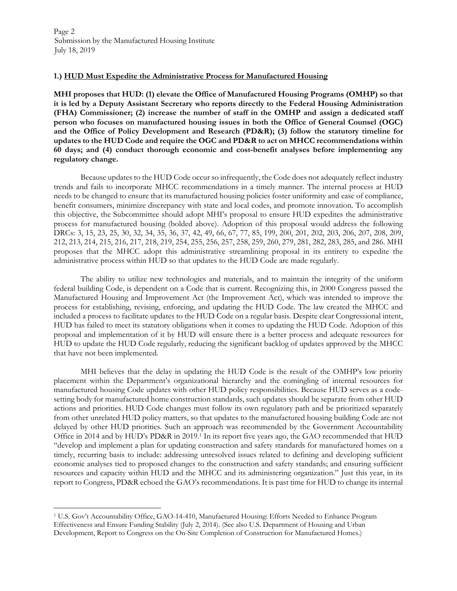### **1.) HUD Must Expedite the Administrative Process for Manufactured Housing**

**MHI proposes that HUD: (1) elevate the Office of Manufactured Housing Programs (OMHP) so that it is led by a Deputy Assistant Secretary who reports directly to the Federal Housing Administration (FHA) Commissioner; (2) increase the number of staff in the OMHP and assign a dedicated staff person who focuses on manufactured housing issues in both the Office of General Counsel (OGC) and the Office of Policy Development and Research (PD&R); (3) follow the statutory timeline for updates to the HUD Code and require the OGC and PD&R to act on MHCC recommendations within 60 days; and (4) conduct thorough economic and cost-benefit analyses before implementing any regulatory change.** 

Because updates to the HUD Code occur so infrequently, the Code does not adequately reflect industry trends and fails to incorporate MHCC recommendations in a timely manner. The internal process at HUD needs to be changed to ensure that its manufactured housing policies foster uniformity and ease of compliance, benefit consumers, minimize discrepancy with state and local codes, and promote innovation. To accomplish this objective, the Subcommittee should adopt MHI's proposal to ensure HUD expedites the administrative process for manufactured housing (bolded above). Adoption of this proposal would address the following DRCs: 3, 15, 23, 25, 30, 32, 34, 35, 36, 37, 42, 49, 66, 67, 77, 85, 199, 200, 201, 202, 203, 206, 207, 208, 209, 212, 213, 214, 215, 216, 217, 218, 219, 254, 255, 256, 257, 258, 259, 260, 279, 281, 282, 283, 285, and 286. MHI proposes that the MHCC adopt this administrative streamlining proposal in its entirety to expedite the administrative process within HUD so that updates to the HUD Code are made regularly.

The ability to utilize new technologies and materials, and to maintain the integrity of the uniform federal building Code, is dependent on a Code that is current. Recognizing this, in 2000 Congress passed the Manufactured Housing and Improvement Act (the Improvement Act), which was intended to improve the process for establishing, revising, enforcing, and updating the HUD Code. The law created the MHCC and included a process to facilitate updates to the HUD Code on a regular basis. Despite clear Congressional intent, HUD has failed to meet its statutory obligations when it comes to updating the HUD Code. Adoption of this proposal and implementation of it by HUD will ensure there is a better process and adequate resources for HUD to update the HUD Code regularly, reducing the significant backlog of updates approved by the MHCC that have not been implemented.

MHI believes that the delay in updating the HUD Code is the result of the OMHP's low priority placement within the Department's organizational hierarchy and the comingling of internal resources for manufactured housing Code updates with other HUD policy responsibilities. Because HUD serves as a codesetting body for manufactured home construction standards, such updates should be separate from other HUD actions and priorities. HUD Code changes must follow its own regulatory path and be prioritized separately from other unrelated HUD policy matters, so that updates to the manufactured housing building Code are not delayed by other HUD priorities. Such an approach was recommended by the Government Accountability Office in 2014 and by HUD's PD&R in 2019.<sup>1</sup> In its report five years ago, the GAO recommended that HUD "develop and implement a plan for updating construction and safety standards for manufactured homes on a timely, recurring basis to include: addressing unresolved issues related to defining and developing sufficient economic analyses tied to proposed changes to the construction and safety standards; and ensuring sufficient resources and capacity within HUD and the MHCC and its administering organization." Just this year, in its report to Congress, PD&R echoed the GAO's recommendations. It is past time for HUD to change its internal

<sup>1</sup> U.S. Gov't Accountability Office, GAO-14-410, Manufactured Housing: Efforts Needed to Enhance Program Effectiveness and Ensure Funding Stability (July 2, 2014). (See also U.S. Department of Housing and Urban Development, Report to Congress on the On-Site Completion of Construction for Manufactured Homes.)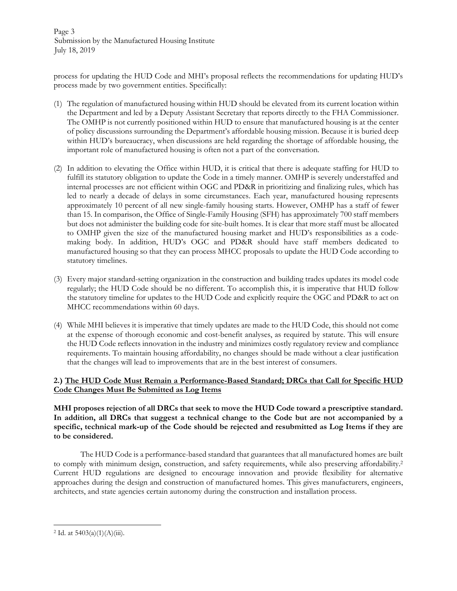Page 3 Submission by the Manufactured Housing Institute July 18, 2019

process for updating the HUD Code and MHI's proposal reflects the recommendations for updating HUD's process made by two government entities. Specifically:

- (1) The regulation of manufactured housing within HUD should be elevated from its current location within the Department and led by a Deputy Assistant Secretary that reports directly to the FHA Commissioner. The OMHP is not currently positioned within HUD to ensure that manufactured housing is at the center of policy discussions surrounding the Department's affordable housing mission. Because it is buried deep within HUD's bureaucracy, when discussions are held regarding the shortage of affordable housing, the important role of manufactured housing is often not a part of the conversation.
- (2) In addition to elevating the Office within HUD, it is critical that there is adequate staffing for HUD to fulfill its statutory obligation to update the Code in a timely manner. OMHP is severely understaffed and internal processes are not efficient within OGC and PD&R in prioritizing and finalizing rules, which has led to nearly a decade of delays in some circumstances. Each year, manufactured housing represents approximately 10 percent of all new single-family housing starts. However, OMHP has a staff of fewer than 15. In comparison, the Office of Single-Family Housing (SFH) has approximately 700 staff members but does not administer the building code for site-built homes. It is clear that more staff must be allocated to OMHP given the size of the manufactured housing market and HUD's responsibilities as a codemaking body. In addition, HUD's OGC and PD&R should have staff members dedicated to manufactured housing so that they can process MHCC proposals to update the HUD Code according to statutory timelines.
- (3) Every major standard-setting organization in the construction and building trades updates its model code regularly; the HUD Code should be no different. To accomplish this, it is imperative that HUD follow the statutory timeline for updates to the HUD Code and explicitly require the OGC and PD&R to act on MHCC recommendations within 60 days.
- (4) While MHI believes it is imperative that timely updates are made to the HUD Code, this should not come at the expense of thorough economic and cost-benefit analyses, as required by statute. This will ensure the HUD Code reflects innovation in the industry and minimizes costly regulatory review and compliance requirements. To maintain housing affordability, no changes should be made without a clear justification that the changes will lead to improvements that are in the best interest of consumers.

### **2.) The HUD Code Must Remain a Performance-Based Standard; DRCs that Call for Specific HUD Code Changes Must Be Submitted as Log Items**

**MHI proposes rejection of all DRCs that seek to move the HUD Code toward a prescriptive standard. In addition, all DRCs that suggest a technical change to the Code but are not accompanied by a specific, technical mark-up of the Code should be rejected and resubmitted as Log Items if they are to be considered.** 

The HUD Code is a performance-based standard that guarantees that all manufactured homes are built to comply with minimum design, construction, and safety requirements, while also preserving affordability.<sup>2</sup> Current HUD regulations are designed to encourage innovation and provide flexibility for alternative approaches during the design and construction of manufactured homes. This gives manufacturers, engineers, architects, and state agencies certain autonomy during the construction and installation process.

 <sup>2</sup> Id. at 5403(a)(1)(A)(iii).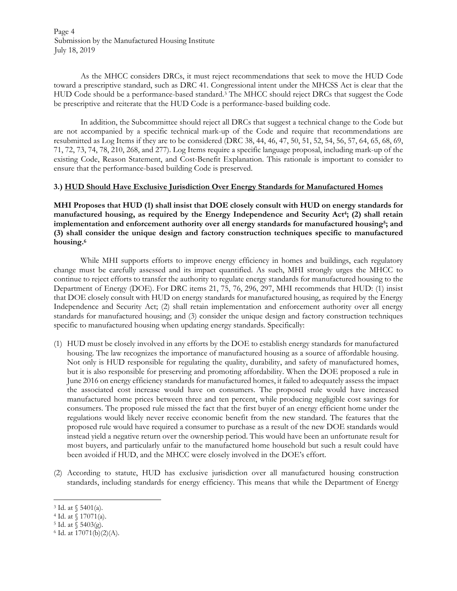Page 4 Submission by the Manufactured Housing Institute July 18, 2019

As the MHCC considers DRCs, it must reject recommendations that seek to move the HUD Code toward a prescriptive standard, such as DRC 41. Congressional intent under the MHCSS Act is clear that the HUD Code should be a performance-based standard.<sup>3</sup> The MHCC should reject DRCs that suggest the Code be prescriptive and reiterate that the HUD Code is a performance-based building code.

In addition, the Subcommittee should reject all DRCs that suggest a technical change to the Code but are not accompanied by a specific technical mark-up of the Code and require that recommendations are resubmitted as Log Items if they are to be considered (DRC 38, 44, 46, 47, 50, 51, 52, 54, 56, 57, 64, 65, 68, 69, 71, 72, 73, 74, 78, 210, 268, and 277). Log Items require a specific language proposal, including mark-up of the existing Code, Reason Statement, and Cost-Benefit Explanation. This rationale is important to consider to ensure that the performance-based building Code is preserved.

### **3.) HUD Should Have Exclusive Jurisdiction Over Energy Standards for Manufactured Homes**

**MHI Proposes that HUD (1) shall insist that DOE closely consult with HUD on energy standards for manufactured housing, as required by the Energy Independence and Security Act<sup>4</sup> ; (2) shall retain implementation and enforcement authority over all energy standards for manufactured housing<sup>5</sup> ; and (3) shall consider the unique design and factory construction techniques specific to manufactured housing.<sup>6</sup>**

While MHI supports efforts to improve energy efficiency in homes and buildings, each regulatory change must be carefully assessed and its impact quantified. As such, MHI strongly urges the MHCC to continue to reject efforts to transfer the authority to regulate energy standards for manufactured housing to the Department of Energy (DOE). For DRC items 21, 75, 76, 296, 297, MHI recommends that HUD: (1) insist that DOE closely consult with HUD on energy standards for manufactured housing, as required by the Energy Independence and Security Act; (2) shall retain implementation and enforcement authority over all energy standards for manufactured housing; and (3) consider the unique design and factory construction techniques specific to manufactured housing when updating energy standards. Specifically:

- (1) HUD must be closely involved in any efforts by the DOE to establish energy standards for manufactured housing. The law recognizes the importance of manufactured housing as a source of affordable housing. Not only is HUD responsible for regulating the quality, durability, and safety of manufactured homes, but it is also responsible for preserving and promoting affordability. When the DOE proposed a rule in June 2016 on energy efficiency standards for manufactured homes, it failed to adequately assess the impact the associated cost increase would have on consumers. The proposed rule would have increased manufactured home prices between three and ten percent, while producing negligible cost savings for consumers. The proposed rule missed the fact that the first buyer of an energy efficient home under the regulations would likely never receive economic benefit from the new standard. The features that the proposed rule would have required a consumer to purchase as a result of the new DOE standards would instead yield a negative return over the ownership period. This would have been an unfortunate result for most buyers, and particularly unfair to the manufactured home household but such a result could have been avoided if HUD, and the MHCC were closely involved in the DOE's effort.
- (2) According to statute, HUD has exclusive jurisdiction over all manufactured housing construction standards, including standards for energy efficiency. This means that while the Department of Energy

5 Id. at § 5403(g).

<sup>3</sup> Id. at § 5401(a).

<sup>4</sup> Id. at § 17071(a).

<sup>6</sup> Id. at 17071(b)(2)(A).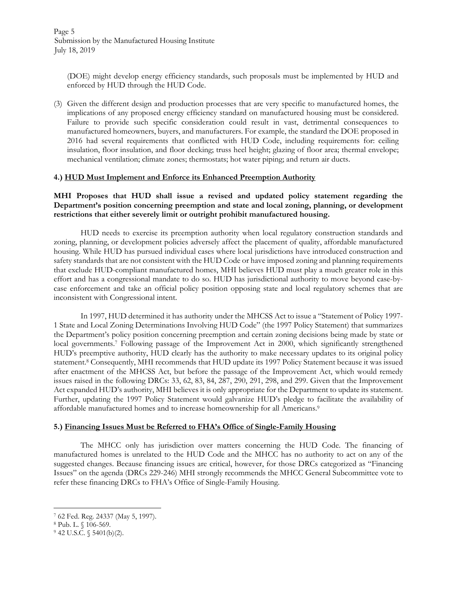(DOE) might develop energy efficiency standards, such proposals must be implemented by HUD and enforced by HUD through the HUD Code.

(3) Given the different design and production processes that are very specific to manufactured homes, the implications of any proposed energy efficiency standard on manufactured housing must be considered. Failure to provide such specific consideration could result in vast, detrimental consequences to manufactured homeowners, buyers, and manufacturers. For example, the standard the DOE proposed in 2016 had several requirements that conflicted with HUD Code, including requirements for: ceiling insulation, floor insulation, and floor decking; truss heel height; glazing of floor area; thermal envelope; mechanical ventilation; climate zones; thermostats; hot water piping; and return air ducts.

#### **4.) HUD Must Implement and Enforce its Enhanced Preemption Authority**

**MHI Proposes that HUD shall issue a revised and updated policy statement regarding the Department's position concerning preemption and state and local zoning, planning, or development restrictions that either severely limit or outright prohibit manufactured housing.** 

HUD needs to exercise its preemption authority when local regulatory construction standards and zoning, planning, or development policies adversely affect the placement of quality, affordable manufactured housing. While HUD has pursued individual cases where local jurisdictions have introduced construction and safety standards that are not consistent with the HUD Code or have imposed zoning and planning requirements that exclude HUD-compliant manufactured homes, MHI believes HUD must play a much greater role in this effort and has a congressional mandate to do so. HUD has jurisdictional authority to move beyond case-bycase enforcement and take an official policy position opposing state and local regulatory schemes that are inconsistent with Congressional intent.

In 1997, HUD determined it has authority under the MHCSS Act to issue a "Statement of Policy 1997- 1 State and Local Zoning Determinations Involving HUD Code" (the 1997 Policy Statement) that summarizes the Department's policy position concerning preemption and certain zoning decisions being made by state or local governments.<sup>7</sup> Following passage of the Improvement Act in 2000, which significantly strengthened HUD's preemptive authority, HUD clearly has the authority to make necessary updates to its original policy statement.<sup>8</sup> Consequently, MHI recommends that HUD update its 1997 Policy Statement because it was issued after enactment of the MHCSS Act, but before the passage of the Improvement Act, which would remedy issues raised in the following DRCs: 33, 62, 83, 84, 287, 290, 291, 298, and 299. Given that the Improvement Act expanded HUD's authority, MHI believes it is only appropriate for the Department to update its statement. Further, updating the 1997 Policy Statement would galvanize HUD's pledge to facilitate the availability of affordable manufactured homes and to increase homeownership for all Americans.<sup>9</sup>

### **5.) Financing Issues Must be Referred to FHA's Office of Single-Family Housing**

The MHCC only has jurisdiction over matters concerning the HUD Code. The financing of manufactured homes is unrelated to the HUD Code and the MHCC has no authority to act on any of the suggested changes. Because financing issues are critical, however, for those DRCs categorized as "Financing Issues" on the agenda (DRCs 229-246) MHI strongly recommends the MHCC General Subcommittee vote to refer these financing DRCs to FHA's Office of Single-Family Housing.

 7 62 Fed. Reg. 24337 (May 5, 1997).

<sup>8</sup> Pub. L. § 106-569.

<sup>&</sup>lt;sup>9</sup> 42 U.S.C. § 5401(b)(2).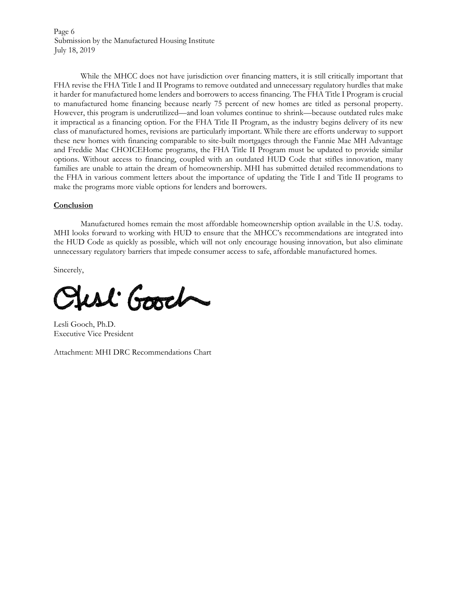Page 6 Submission by the Manufactured Housing Institute July 18, 2019

While the MHCC does not have jurisdiction over financing matters, it is still critically important that FHA revise the FHA Title I and II Programs to remove outdated and unnecessary regulatory hurdles that make it harder for manufactured home lenders and borrowers to access financing. The FHA Title I Program is crucial to manufactured home financing because nearly 75 percent of new homes are titled as personal property. However, this program is underutilized—and loan volumes continue to shrink—because outdated rules make it impractical as a financing option. For the FHA Title II Program, as the industry begins delivery of its new class of manufactured homes, revisions are particularly important. While there are efforts underway to support these new homes with financing comparable to site-built mortgages through the Fannie Mae MH Advantage and Freddie Mac CHOICEHome programs, the FHA Title II Program must be updated to provide similar options. Without access to financing, coupled with an outdated HUD Code that stifles innovation, many families are unable to attain the dream of homeownership. MHI has submitted detailed recommendations to the FHA in various comment letters about the importance of updating the Title I and Title II programs to make the programs more viable options for lenders and borrowers.

#### **Conclusion**

Manufactured homes remain the most affordable homeownership option available in the U.S. today. MHI looks forward to working with HUD to ensure that the MHCC's recommendations are integrated into the HUD Code as quickly as possible, which will not only encourage housing innovation, but also eliminate unnecessary regulatory barriers that impede consumer access to safe, affordable manufactured homes.

Sincerely,

ust Good

Lesli Gooch, Ph.D. Executive Vice President

Attachment: MHI DRC Recommendations Chart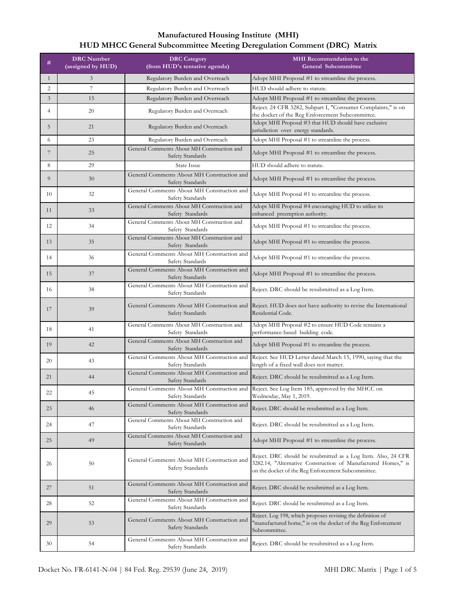| #              | <b>DRC</b> Number<br>(assigned by HUD) | <b>DRC</b> Category<br>(from HUD's tentative agenda)           | <b>MHI</b> Recommendation to the<br><b>General Subcommittee</b>                                                                                                                      |
|----------------|----------------------------------------|----------------------------------------------------------------|--------------------------------------------------------------------------------------------------------------------------------------------------------------------------------------|
| $\mathbf{1}$   | 3                                      | Regulatory Burden and Overreach                                | Adopt MHI Proposal #1 to streamline the process.                                                                                                                                     |
| 2              | $\overline{7}$                         | Regulatory Burden and Overreach                                | HUD should adhere to statute.                                                                                                                                                        |
| 3              | 15                                     | Regulatory Burden and Overreach                                | Adopt MHI Proposal #1 to streamline the process.                                                                                                                                     |
| $\overline{4}$ | 20                                     | Regulatory Burden and Overreach                                | Reject. 24 CFR 3282, Subpart I, "Consumer Complaints," is on<br>the docket of the Reg Enforcement Subcommittee.                                                                      |
| 5              | 21                                     | Regulatory Burden and Overreach                                | Adopt MHI Proposal #3 that HUD should have exclusive<br>jurisdiction over energy standards.                                                                                          |
| 6              | 23                                     | Regulatory Burden and Overreach                                | Adopt MHI Proposal #1 to streamline the process.                                                                                                                                     |
| 7              | 25                                     | General Comments About MH Construction and<br>Safety Standards | Adopt MHI Proposal #1 to streamline the process.                                                                                                                                     |
| 8              | 29                                     | <b>State Issue</b>                                             | HUD should adhere to statute.                                                                                                                                                        |
| 9              | 30                                     | General Comments About MH Construction and<br>Safety Standards | Adopt MHI Proposal #1 to streamline the process.                                                                                                                                     |
| 10             | 32                                     | General Comments About MH Construction and<br>Safety Standards | Adopt MHI Proposal #1 to streamline the process.                                                                                                                                     |
| 11             | 33                                     | General Comments About MH Construction and<br>Safety Standards | Adopt MHI Proposal #4 encouraging HUD to utilize its<br>enhanced preemption authority.                                                                                               |
| 12             | 34                                     | General Comments About MH Construction and<br>Safety Standards | Adopt MHI Proposal #1 to streamline the process.                                                                                                                                     |
| 13             | 35                                     | General Comments About MH Construction and<br>Safety Standards | Adopt MHI Proposal #1 to streamline the process.                                                                                                                                     |
| 14             | 36                                     | General Comments About MH Construction and<br>Safety Standards | Adopt MHI Proposal #1 to streamline the process.                                                                                                                                     |
| 15             | 37                                     | General Comments About MH Construction and<br>Safety Standards | Adopt MHI Proposal #1 to streamline the process.                                                                                                                                     |
| 16             | 38                                     | General Comments About MH Construction and<br>Safety Standards | Reject. DRC should be resubmitted as a Log Item.                                                                                                                                     |
| 17             | 39                                     | General Comments About MH Construction and<br>Safety Standards | Reject. HUD does not have authority to revise the International<br>Residential Code.                                                                                                 |
| 18             | 41                                     | General Comments About MH Construction and<br>Safety Standards | Adopt MHI Proposal #2 to ensure HUD Code remains a<br>performance-based building code.                                                                                               |
| 19             | 42                                     | General Comments About MH Construction and<br>Safety Standards | Adopt MHI Proposal #1 to streamline the process.                                                                                                                                     |
| 20             | 43                                     | General Comments About MH Construction and<br>Safety Standards | Reject. See HUD Letter dated March 15, 1990, saying that the<br>length of a fixed wall does not matter.                                                                              |
| 21             | 44                                     | General Comments About MH Construction and<br>Safety Standards | Reject. DRC should be resubmitted as a Log Item.                                                                                                                                     |
| 22             | 45                                     | General Comments About MH Construction and<br>Safety Standards | Reject. See Log Item 185, approved by the MHCC on<br>Wednesday, May 1, 2019.                                                                                                         |
| 23             | 46                                     | General Comments About MH Construction and<br>Safety Standards | Reject. DRC should be resubmitted as a Log Item.                                                                                                                                     |
| 24             | 47                                     | General Comments About MH Construction and<br>Safety Standards | Reject. DRC should be resubmitted as a Log Item.                                                                                                                                     |
| 25             | 49                                     | General Comments About MH Construction and<br>Safety Standards | Adopt MHI Proposal #1 to streamline the process.                                                                                                                                     |
| 26             | 50                                     | General Comments About MH Construction and<br>Safety Standards | Reject. DRC should be resubmitted as a Log Item. Also, 24 CFR<br>3282.14, "Alternative Construction of Manufactured Homes," is<br>on the docket of the Reg Enforcement Subcommittee. |
| 27             | 51                                     | General Comments About MH Construction and<br>Safety Standards | Reject. DRC should be resubmitted as a Log Item.                                                                                                                                     |
| 28             | 52                                     | General Comments About MH Construction and<br>Safety Standards | Reject. DRC should be resubmitted as a Log Item.                                                                                                                                     |
| 29             | 53                                     | General Comments About MH Construction and<br>Safety Standards | Reject. Log 198, which proposes revising the definition of<br>"manufactured home," is on the docket of the Reg Enforcement<br>Subcommittee.                                          |
| 30             | 54                                     | General Comments About MH Construction and<br>Safety Standards | Reject. DRC should be resubmitted as a Log Item.                                                                                                                                     |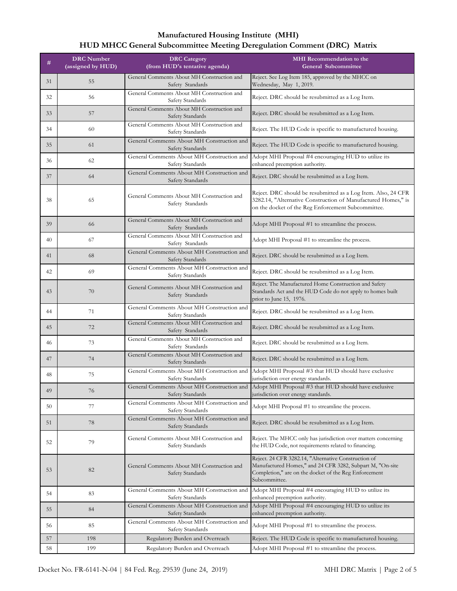| #  | <b>DRC</b> Number<br>(assigned by HUD) | <b>DRC</b> Category<br>(from HUD's tentative agenda)           | <b>MHI</b> Recommendation to the<br>General Subcommittee                                                                                                                                    |
|----|----------------------------------------|----------------------------------------------------------------|---------------------------------------------------------------------------------------------------------------------------------------------------------------------------------------------|
| 31 | 55                                     | General Comments About MH Construction and<br>Safety Standards | Reject. See Log Item 185, approved by the MHCC on<br>Wednesday, May 1, 2019.                                                                                                                |
| 32 | 56                                     | General Comments About MH Construction and<br>Safety Standards | Reject. DRC should be resubmitted as a Log Item.                                                                                                                                            |
| 33 | 57                                     | General Comments About MH Construction and<br>Safety Standards | Reject. DRC should be resubmitted as a Log Item.                                                                                                                                            |
| 34 | 60                                     | General Comments About MH Construction and<br>Safety Standards | Reject. The HUD Code is specific to manufactured housing.                                                                                                                                   |
| 35 | 61                                     | General Comments About MH Construction and<br>Safety Standards | Reject. The HUD Code is specific to manufactured housing.                                                                                                                                   |
| 36 | 62                                     | General Comments About MH Construction and<br>Safety Standards | Adopt MHI Proposal #4 encouraging HUD to utilize its<br>enhanced preemption authority.                                                                                                      |
| 37 | 64                                     | General Comments About MH Construction and<br>Safety Standards | Reject. DRC should be resubmitted as a Log Item.                                                                                                                                            |
| 38 | 65                                     | General Comments About MH Construction and<br>Safety Standards | Reject. DRC should be resubmitted as a Log Item. Also, 24 CFR<br>3282.14, "Alternative Construction of Manufactured Homes," is<br>on the docket of the Reg Enforcement Subcommittee.        |
| 39 | 66                                     | General Comments About MH Construction and<br>Safety Standards | Adopt MHI Proposal #1 to streamline the process.                                                                                                                                            |
| 40 | 67                                     | General Comments About MH Construction and<br>Safety Standards | Adopt MHI Proposal #1 to streamline the process.                                                                                                                                            |
| 41 | 68                                     | General Comments About MH Construction and<br>Safety Standards | Reject. DRC should be resubmitted as a Log Item.                                                                                                                                            |
| 42 | 69                                     | General Comments About MH Construction and<br>Safety Standards | Reject. DRC should be resubmitted as a Log Item.                                                                                                                                            |
| 43 | 70                                     | General Comments About MH Construction and<br>Safety Standards | Reject. The Manufactured Home Construction and Safety<br>Standards Act and the HUD Code do not apply to homes built<br>prior to June 15, 1976.                                              |
| 44 | 71                                     | General Comments About MH Construction and<br>Safety Standards | Reject. DRC should be resubmitted as a Log Item.                                                                                                                                            |
| 45 | 72                                     | General Comments About MH Construction and<br>Safety Standards | Reject. DRC should be resubmitted as a Log Item.                                                                                                                                            |
| 46 | 73                                     | General Comments About MH Construction and<br>Safety Standards | Reject. DRC should be resubmitted as a Log Item.                                                                                                                                            |
| 47 | 74                                     | General Comments About MH Construction and<br>Safety Standards | Reject. DRC should be resubmitted as a Log Item.                                                                                                                                            |
| 48 | 75                                     | General Comments About MH Construction and<br>Safety Standards | Adopt MHI Proposal #3 that HUD should have exclusive<br>jurisdiction over energy standards.                                                                                                 |
| 49 | 76                                     | Safety Standards                                               | General Comments About MH Construction and Adopt MHI Proposal #3 that HUD should have exclusive<br>jurisdiction over energy standards.                                                      |
| 50 | 77                                     | General Comments About MH Construction and<br>Safety Standards | Adopt MHI Proposal #1 to streamline the process.                                                                                                                                            |
| 51 | 78                                     | General Comments About MH Construction and<br>Safety Standards | Reject. DRC should be resubmitted as a Log Item.                                                                                                                                            |
| 52 | 79                                     | General Comments About MH Construction and<br>Safety Standards | Reject. The MHCC only has jurisdiction over matters concerning<br>the HUD Code, not requirements related to financing.                                                                      |
| 53 | 82                                     | General Comments About MH Construction and<br>Safety Standards | Reject. 24 CFR 3282.14, "Alternative Construction of<br>Manufactured Homes," and 24 CFR 3282, Subpart M, "On-site<br>Completion," are on the docket of the Reg Enforcement<br>Subcommittee. |
| 54 | 83                                     | General Comments About MH Construction and<br>Safety Standards | Adopt MHI Proposal #4 encouraging HUD to utilize its<br>enhanced preemption authority.                                                                                                      |
| 55 | 84                                     | General Comments About MH Construction and<br>Safety Standards | Adopt MHI Proposal #4 encouraging HUD to utilize its<br>enhanced preemption authority.                                                                                                      |
| 56 | 85                                     | General Comments About MH Construction and<br>Safety Standards | Adopt MHI Proposal #1 to streamline the process.                                                                                                                                            |
| 57 | 198                                    | Regulatory Burden and Overreach                                | Reject. The HUD Code is specific to manufactured housing.                                                                                                                                   |
| 58 | 199                                    | Regulatory Burden and Overreach                                | Adopt MHI Proposal #1 to streamline the process.                                                                                                                                            |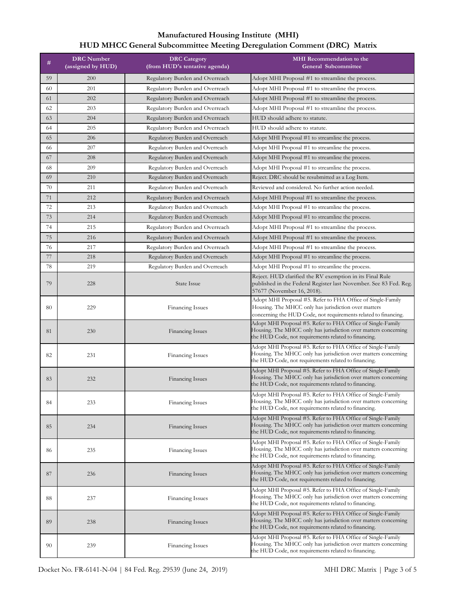| #  | <b>DRC</b> Number<br>(assigned by HUD) | <b>DRC</b> Category<br>(from HUD's tentative agenda) | <b>MHI</b> Recommendation to the<br><b>General Subcommittee</b>                                                                                                                        |
|----|----------------------------------------|------------------------------------------------------|----------------------------------------------------------------------------------------------------------------------------------------------------------------------------------------|
| 59 | 200                                    | Regulatory Burden and Overreach                      | Adopt MHI Proposal #1 to streamline the process.                                                                                                                                       |
| 60 | 201                                    | Regulatory Burden and Overreach                      | Adopt MHI Proposal #1 to streamline the process.                                                                                                                                       |
| 61 | 202                                    | Regulatory Burden and Overreach                      | Adopt MHI Proposal #1 to streamline the process.                                                                                                                                       |
| 62 | 203                                    | Regulatory Burden and Overreach                      | Adopt MHI Proposal #1 to streamline the process.                                                                                                                                       |
| 63 | 204                                    | Regulatory Burden and Overreach                      | HUD should adhere to statute.                                                                                                                                                          |
| 64 | 205                                    | Regulatory Burden and Overreach                      | HUD should adhere to statute.                                                                                                                                                          |
| 65 | 206                                    | Regulatory Burden and Overreach                      | Adopt MHI Proposal #1 to streamline the process.                                                                                                                                       |
| 66 | 207                                    | Regulatory Burden and Overreach                      | Adopt MHI Proposal #1 to streamline the process.                                                                                                                                       |
| 67 | 208                                    | Regulatory Burden and Overreach                      | Adopt MHI Proposal #1 to streamline the process.                                                                                                                                       |
| 68 | 209                                    | Regulatory Burden and Overreach                      | Adopt MHI Proposal #1 to streamline the process.                                                                                                                                       |
| 69 | 210                                    | Regulatory Burden and Overreach                      | Reject. DRC should be resubmitted as a Log Item.                                                                                                                                       |
| 70 | 211                                    | Regulatory Burden and Overreach                      | Reviewed and considered. No further action needed.                                                                                                                                     |
| 71 | 212                                    | Regulatory Burden and Overreach                      | Adopt MHI Proposal #1 to streamline the process.                                                                                                                                       |
| 72 | 213                                    | Regulatory Burden and Overreach                      | Adopt MHI Proposal #1 to streamline the process.                                                                                                                                       |
| 73 | 214                                    | Regulatory Burden and Overreach                      | Adopt MHI Proposal #1 to streamline the process.                                                                                                                                       |
| 74 | 215                                    | Regulatory Burden and Overreach                      | Adopt MHI Proposal #1 to streamline the process.                                                                                                                                       |
| 75 | 216                                    | Regulatory Burden and Overreach                      | Adopt MHI Proposal #1 to streamline the process.                                                                                                                                       |
| 76 | 217                                    | Regulatory Burden and Overreach                      | Adopt MHI Proposal #1 to streamline the process.                                                                                                                                       |
| 77 | 218                                    | Regulatory Burden and Overreach                      | Adopt MHI Proposal #1 to streamline the process.                                                                                                                                       |
| 78 | 219                                    | Regulatory Burden and Overreach                      | Adopt MHI Proposal #1 to streamline the process.                                                                                                                                       |
| 79 | 228                                    | <b>State Issue</b>                                   | Reject. HUD clarified the RV exemption in its Final Rule<br>published in the Federal Register last November. See 83 Fed. Reg.<br>57677 (November 16, 2018).                            |
| 80 | 229                                    | Financing Issues                                     | Adopt MHI Proposal #5. Refer to FHA Office of Single-Family<br>Housing. The MHCC only has jurisdiction over matters<br>concerning the HUD Code, not requirements related to financing. |
| 81 | 230                                    | Financing Issues                                     | Adopt MHI Proposal #5. Refer to FHA Office of Single-Family<br>Housing. The MHCC only has jurisdiction over matters concerning<br>the HUD Code, not requirements related to financing. |
| 82 | 231                                    | Financing Issues                                     | Adopt MHI Proposal #5. Refer to FHA Office of Single-Family<br>Housing. The MHCC only has jurisdiction over matters concerning<br>the HUD Code, not requirements related to financing. |
| 83 | 232                                    | Financing Issues                                     | Adopt MHI Proposal #5. Refer to FHA Office of Single-Family<br>Housing. The MHCC only has jurisdiction over matters concerning<br>the HUD Code, not requirements related to financing. |
| 84 | 233                                    | Financing Issues                                     | Adopt MHI Proposal #5. Refer to FHA Office of Single-Family<br>Housing. The MHCC only has jurisdiction over matters concerning<br>the HUD Code, not requirements related to financing. |
| 85 | 234                                    | Financing Issues                                     | Adopt MHI Proposal #5. Refer to FHA Office of Single-Family<br>Housing. The MHCC only has jurisdiction over matters concerning<br>the HUD Code, not requirements related to financing. |
| 86 | 235                                    | Financing Issues                                     | Adopt MHI Proposal #5. Refer to FHA Office of Single-Family<br>Housing. The MHCC only has jurisdiction over matters concerning<br>the HUD Code, not requirements related to financing. |
| 87 | 236                                    | <b>Financing Issues</b>                              | Adopt MHI Proposal #5. Refer to FHA Office of Single-Family<br>Housing. The MHCC only has jurisdiction over matters concerning<br>the HUD Code, not requirements related to financing. |
| 88 | 237                                    | Financing Issues                                     | Adopt MHI Proposal #5. Refer to FHA Office of Single-Family<br>Housing. The MHCC only has jurisdiction over matters concerning<br>the HUD Code, not requirements related to financing. |
| 89 | 238                                    | Financing Issues                                     | Adopt MHI Proposal #5. Refer to FHA Office of Single-Family<br>Housing. The MHCC only has jurisdiction over matters concerning<br>the HUD Code, not requirements related to financing. |
| 90 | 239                                    | Financing Issues                                     | Adopt MHI Proposal #5. Refer to FHA Office of Single-Family<br>Housing. The MHCC only has jurisdiction over matters concerning<br>the HUD Code, not requirements related to financing. |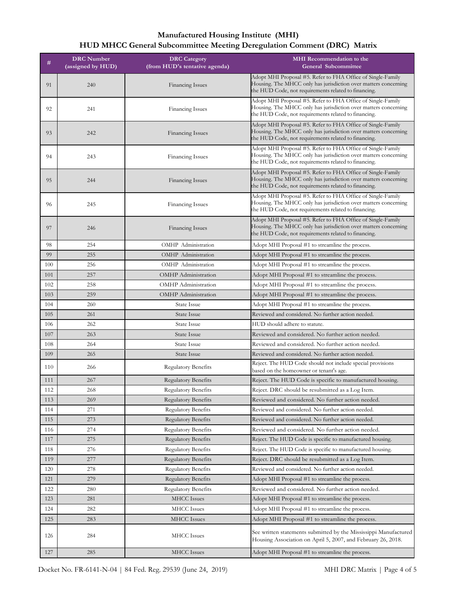| #   | <b>DRC</b> Number | <b>DRC</b> Category           | <b>MHI</b> Recommendation to the                                                                                                                                                       |
|-----|-------------------|-------------------------------|----------------------------------------------------------------------------------------------------------------------------------------------------------------------------------------|
|     | (assigned by HUD) | (from HUD's tentative agenda) | <b>General Subcommittee</b>                                                                                                                                                            |
| 91  | 240               | Financing Issues              | Adopt MHI Proposal #5. Refer to FHA Office of Single-Family<br>Housing. The MHCC only has jurisdiction over matters concerning<br>the HUD Code, not requirements related to financing. |
| 92  | 241               | Financing Issues              | Adopt MHI Proposal #5. Refer to FHA Office of Single-Family<br>Housing. The MHCC only has jurisdiction over matters concerning<br>the HUD Code, not requirements related to financing. |
| 93  | 242               | Financing Issues              | Adopt MHI Proposal #5. Refer to FHA Office of Single-Family<br>Housing. The MHCC only has jurisdiction over matters concerning<br>the HUD Code, not requirements related to financing. |
| 94  | 243               | Financing Issues              | Adopt MHI Proposal #5. Refer to FHA Office of Single-Family<br>Housing. The MHCC only has jurisdiction over matters concerning<br>the HUD Code, not requirements related to financing. |
| 95  | 244               | Financing Issues              | Adopt MHI Proposal #5. Refer to FHA Office of Single-Family<br>Housing. The MHCC only has jurisdiction over matters concerning<br>the HUD Code, not requirements related to financing. |
| 96  | 245               | <b>Financing Issues</b>       | Adopt MHI Proposal #5. Refer to FHA Office of Single-Family<br>Housing. The MHCC only has jurisdiction over matters concerning<br>the HUD Code, not requirements related to financing. |
| 97  | 246               | Financing Issues              | Adopt MHI Proposal #5. Refer to FHA Office of Single-Family<br>Housing. The MHCC only has jurisdiction over matters concerning<br>the HUD Code, not requirements related to financing. |
| 98  | 254               | OMHP Administration           | Adopt MHI Proposal #1 to streamline the process.                                                                                                                                       |
| 99  | 255               | OMHP Administration           | Adopt MHI Proposal #1 to streamline the process.                                                                                                                                       |
| 100 | 256               | OMHP Administration           | Adopt MHI Proposal #1 to streamline the process.                                                                                                                                       |
| 101 | 257               | <b>OMHP</b> Administration    | Adopt MHI Proposal #1 to streamline the process.                                                                                                                                       |
| 102 | 258               | <b>OMHP</b> Administration    | Adopt MHI Proposal #1 to streamline the process.                                                                                                                                       |
| 103 | 259               | <b>OMHP</b> Administration    | Adopt MHI Proposal #1 to streamline the process.                                                                                                                                       |
| 104 | 260               | <b>State Issue</b>            | Adopt MHI Proposal #1 to streamline the process.                                                                                                                                       |
| 105 | 261               | State Issue                   | Reviewed and considered. No further action needed.                                                                                                                                     |
| 106 | 262               | <b>State Issue</b>            | HUD should adhere to statute.                                                                                                                                                          |
| 107 | 263               | <b>State Issue</b>            | Reviewed and considered. No further action needed.                                                                                                                                     |
| 108 | 264               | <b>State Issue</b>            | Reviewed and considered. No further action needed.                                                                                                                                     |
| 109 | 265               | State Issue                   | Reviewed and considered. No further action needed.                                                                                                                                     |
| 110 | 266               | Regulatory Benefits           | Reject. The HUD Code should not include special provisions<br>based on the homeowner or tenant's age.                                                                                  |
| 111 | 267               | Regulatory Benefits           | Reject. The HUD Code is specific to manufactured housing.                                                                                                                              |
| 112 | 268               | Regulatory Benefits           | Reject. DRC should be resubmitted as a Log Item.                                                                                                                                       |
| 113 | 269               | <b>Regulatory Benefits</b>    | Reviewed and considered. No further action needed.                                                                                                                                     |
| 114 | 271               | <b>Regulatory Benefits</b>    | Reviewed and considered. No further action needed.                                                                                                                                     |
| 115 | 273               | <b>Regulatory Benefits</b>    | Reviewed and considered. No further action needed.                                                                                                                                     |
| 116 | 274               | <b>Regulatory Benefits</b>    | Reviewed and considered. No further action needed.                                                                                                                                     |
| 117 | 275               | <b>Regulatory Benefits</b>    | Reject. The HUD Code is specific to manufactured housing.                                                                                                                              |
| 118 | 276               | <b>Regulatory Benefits</b>    | Reject. The HUD Code is specific to manufactured housing.                                                                                                                              |
| 119 | 277               | <b>Regulatory Benefits</b>    | Reject. DRC should be resubmitted as a Log Item.                                                                                                                                       |
| 120 | 278               | <b>Regulatory Benefits</b>    | Reviewed and considered. No further action needed.                                                                                                                                     |
| 121 | 279               | <b>Regulatory Benefits</b>    | Adopt MHI Proposal #1 to streamline the process.                                                                                                                                       |
| 122 | 280               | <b>Regulatory Benefits</b>    | Reviewed and considered. No further action needed.                                                                                                                                     |
| 123 | 281               | <b>MHCC</b> Issues            | Adopt MHI Proposal #1 to streamline the process.                                                                                                                                       |
| 124 | 282               | <b>MHCC</b> Issues            | Adopt MHI Proposal #1 to streamline the process.                                                                                                                                       |
| 125 | 283               | MHCC Issues                   | Adopt MHI Proposal #1 to streamline the process.                                                                                                                                       |
| 126 | 284               | <b>MHCC</b> Issues            | See written statements submitted by the Mississippi Manufactured<br>Housing Association on April 5, 2007, and February 26, 2018.                                                       |
| 127 | 285               | <b>MHCC</b> Issues            | Adopt MHI Proposal #1 to streamline the process.                                                                                                                                       |